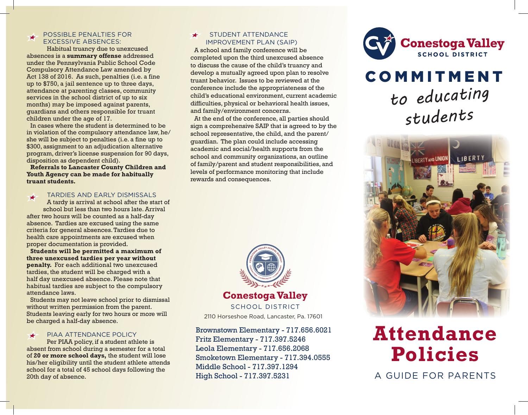### POSSIBLE PENALTIES FOR EXCESSIVE ABSENCES:

Habitual truancy due to unexcused absences is a **summary offense** addressed under the Pennsylvania Public School Code Compulsory Attendance Law amended by Act 138 of 2016. As such, penalties (i.e. a fine up to \$750, a jail sentence up to three days, attendance at parenting classes, community services in the school district of up to six months) may be imposed against parents, guardians and others responsible for truant children under the age of 17.

In cases where the student is determined to be in violation of the compulsory attendance law, he/ she will be subject to penalties (i.e. a fine up to \$300, assignment to an adjudication alternative program, driver's license suspension for 90 days, disposition as dependent child).

**Referrals to Lancaster County Children and Youth Agency can be made for habitually truant students.**

### TARDIES AND EARLY DISMISSALS  $\bigstar$

A tardy is arrival at school after the start of school but less than two hours late. Arrival after two hours will be counted as a half-day absence. Tardies are excused using the same criteria for general absences. Tardies due to health care appointments are excused when proper documentation is provided.

**Students will be permitted a maximum of three unexcused tardies per year without penalty.** For each additional two unexcused tardies, the student will be charged with a half day unexcused absence. Please note that habitual tardies are subject to the compulsory attendance laws.

Students may not leave school prior to dismissal without written permission from the parent. Students leaving early for two hours or more will be charged a half-day absence.

### PIAA ATTENDANCE POLICY  $\bigstar$

Per PIAA policy, if a student athlete is absent from school during a semester for a total of **20 or more school days,** the student will lose his/her eligibility until the student athlete attends school for a total of 45 school days following the 20th day of absence.

### STUDENT ATTENDANCE IMPROVEMENT PLAN (SAIP)

A school and family conference will be completed upon the third unexcused absence to discuss the cause of the child's truancy and develop a mutually agreed upon plan to resolve truant behavior. Issues to be reviewed at the conference include the appropriateness of the child's educational environment, current academic difficulties, physical or behavioral health issues, and family/environment concerns.

At the end of the conference, all parties should sign a comprehensive SAIP that is agreed to by the school representative, the child, and the parent/ guardian. The plan could include accessing academic and social/health supports from the school and community organizations, an outline of family/parent and student responsibilities, and levels of performance monitoring that include rewards and consequences.



2110 Horseshoe Road, Lancaster, Pa. 17601

Brownstown Elementary - 717.656.6021 Fritz Elementary - 717.397.5246 Leola Elementary - 717.656.2068 Smoketown Elementary - 717.394.0555 Middle School - 717.397.1294 High School - 717.397.5231



# **COMMITMENT** *to educating students*



# **Attendance Policies**

A GUIDE FOR PARENTS